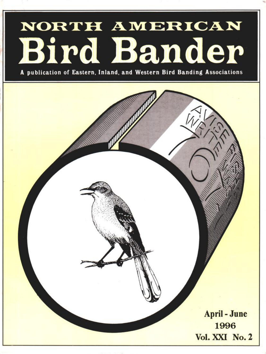# NORTH AMERICAN Bird Bander

**A publication of Eastern, Inland, and Western Bird Banding Associations**